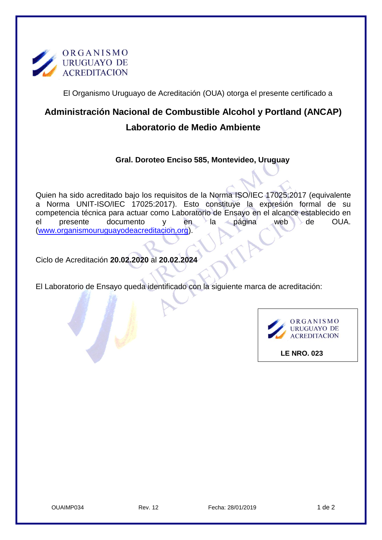

El Organismo Uruguayo de Acreditación (OUA) otorga el presente certificado a

## **Administración Nacional de Combustible Alcohol y Portland (ANCAP) Laboratorio de Medio Ambiente**

## **Gral. Doroteo Enciso 585, Montevideo, Uruguay**

Quien ha sido acreditado bajo los requisitos de la Norma ISO/IEC 17025:2017 (equivalente a Norma UNIT-ISO/IEC 17025:2017). Esto constituye la expresión formal de su competencia técnica para actuar como Laboratorio de Ensayo en el alcance establecido en el presente documento y en la página web de OUA. [\(www.organismouruguayodeacreditacion.org\)](http://www.organismouruguayodeacreditacion.org/).

Ciclo de Acreditación **20.02.2020** al **20.02.2024**

El Laboratorio de Ensayo queda identificado con la siguiente marca de acreditación:



 **LE NRO. 023**